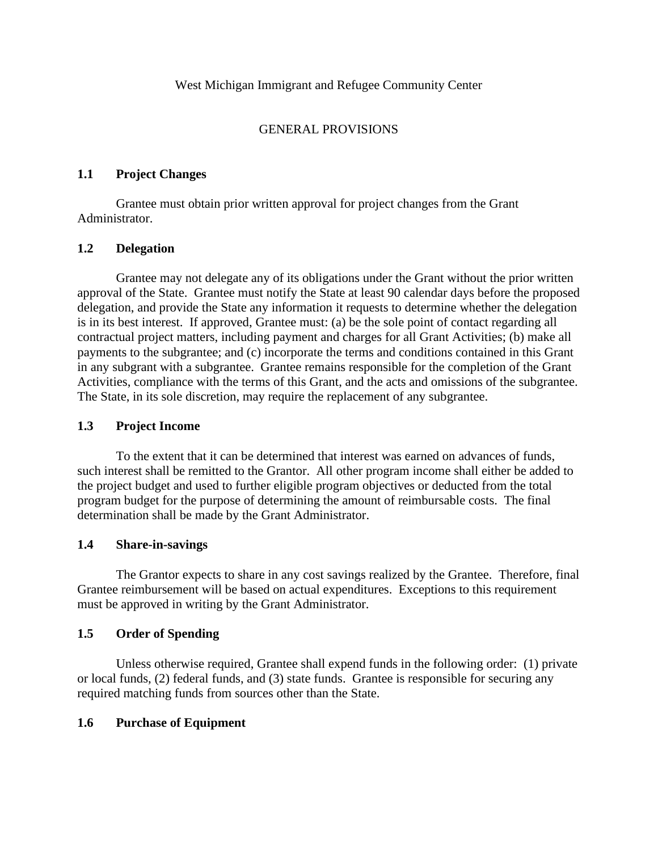## GENERAL PROVISIONS

## **1.1 Project Changes**

Grantee must obtain prior written approval for project changes from the Grant Administrator.

## **1.2 Delegation**

Grantee may not delegate any of its obligations under the Grant without the prior written approval of the State. Grantee must notify the State at least 90 calendar days before the proposed delegation, and provide the State any information it requests to determine whether the delegation is in its best interest. If approved, Grantee must: (a) be the sole point of contact regarding all contractual project matters, including payment and charges for all Grant Activities; (b) make all payments to the subgrantee; and (c) incorporate the terms and conditions contained in this Grant in any subgrant with a subgrantee. Grantee remains responsible for the completion of the Grant Activities, compliance with the terms of this Grant, and the acts and omissions of the subgrantee. The State, in its sole discretion, may require the replacement of any subgrantee.

### **1.3 Project Income**

To the extent that it can be determined that interest was earned on advances of funds, such interest shall be remitted to the Grantor. All other program income shall either be added to the project budget and used to further eligible program objectives or deducted from the total program budget for the purpose of determining the amount of reimbursable costs. The final determination shall be made by the Grant Administrator.

### **1.4 Share-in-savings**

The Grantor expects to share in any cost savings realized by the Grantee. Therefore, final Grantee reimbursement will be based on actual expenditures. Exceptions to this requirement must be approved in writing by the Grant Administrator.

### **1.5 Order of Spending**

Unless otherwise required, Grantee shall expend funds in the following order: (1) private or local funds, (2) federal funds, and (3) state funds. Grantee is responsible for securing any required matching funds from sources other than the State.

### **1.6 Purchase of Equipment**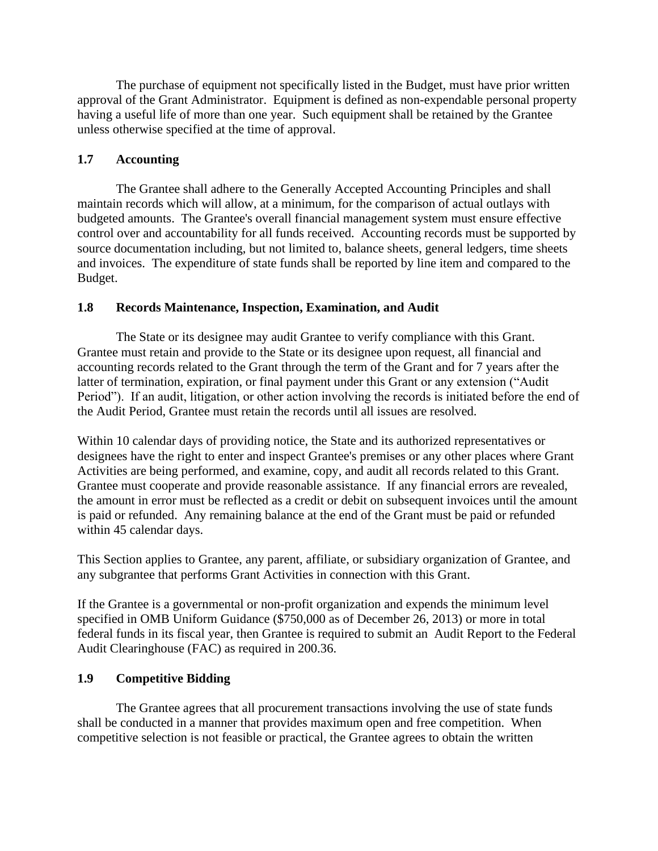The purchase of equipment not specifically listed in the Budget, must have prior written approval of the Grant Administrator. Equipment is defined as non-expendable personal property having a useful life of more than one year. Such equipment shall be retained by the Grantee unless otherwise specified at the time of approval.

## **1.7 Accounting**

The Grantee shall adhere to the Generally Accepted Accounting Principles and shall maintain records which will allow, at a minimum, for the comparison of actual outlays with budgeted amounts. The Grantee's overall financial management system must ensure effective control over and accountability for all funds received. Accounting records must be supported by source documentation including, but not limited to, balance sheets, general ledgers, time sheets and invoices. The expenditure of state funds shall be reported by line item and compared to the Budget.

## **1.8 Records Maintenance, Inspection, Examination, and Audit**

The State or its designee may audit Grantee to verify compliance with this Grant. Grantee must retain and provide to the State or its designee upon request, all financial and accounting records related to the Grant through the term of the Grant and for 7 years after the latter of termination, expiration, or final payment under this Grant or any extension ("Audit Period"). If an audit, litigation, or other action involving the records is initiated before the end of the Audit Period, Grantee must retain the records until all issues are resolved.

Within 10 calendar days of providing notice, the State and its authorized representatives or designees have the right to enter and inspect Grantee's premises or any other places where Grant Activities are being performed, and examine, copy, and audit all records related to this Grant. Grantee must cooperate and provide reasonable assistance. If any financial errors are revealed, the amount in error must be reflected as a credit or debit on subsequent invoices until the amount is paid or refunded. Any remaining balance at the end of the Grant must be paid or refunded within 45 calendar days.

This Section applies to Grantee, any parent, affiliate, or subsidiary organization of Grantee, and any subgrantee that performs Grant Activities in connection with this Grant.

If the Grantee is a governmental or non-profit organization and expends the minimum level specified in OMB Uniform Guidance (\$750,000 as of December 26, 2013) or more in total federal funds in its fiscal year, then Grantee is required to submit an Audit Report to the Federal Audit Clearinghouse (FAC) as required in 200.36.

### **1.9 Competitive Bidding**

The Grantee agrees that all procurement transactions involving the use of state funds shall be conducted in a manner that provides maximum open and free competition. When competitive selection is not feasible or practical, the Grantee agrees to obtain the written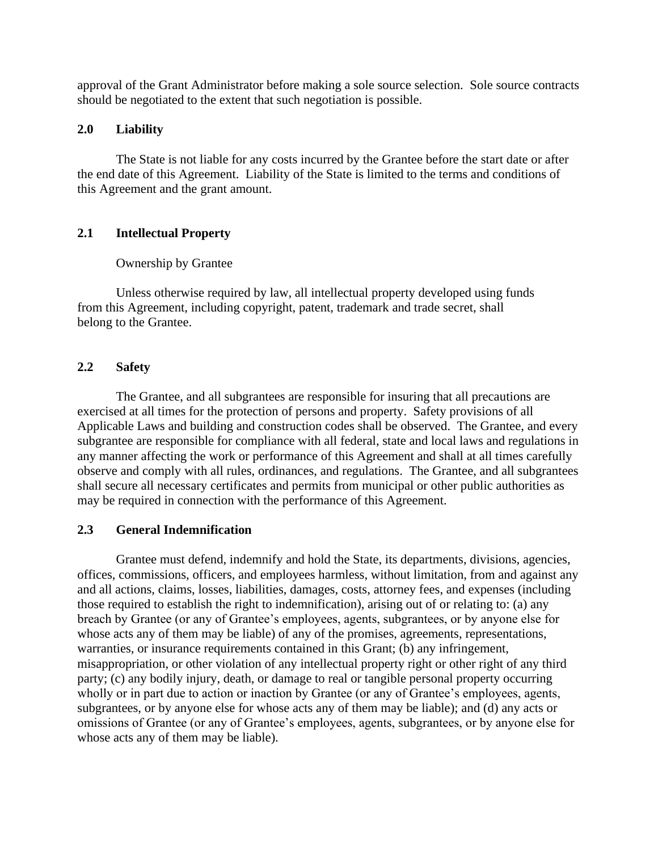approval of the Grant Administrator before making a sole source selection. Sole source contracts should be negotiated to the extent that such negotiation is possible.

#### **2.0 Liability**

The State is not liable for any costs incurred by the Grantee before the start date or after the end date of this Agreement. Liability of the State is limited to the terms and conditions of this Agreement and the grant amount.

### **2.1 Intellectual Property**

#### Ownership by Grantee

Unless otherwise required by law, all intellectual property developed using funds from this Agreement, including copyright, patent, trademark and trade secret, shall belong to the Grantee.

#### **2.2 Safety**

The Grantee, and all subgrantees are responsible for insuring that all precautions are exercised at all times for the protection of persons and property. Safety provisions of all Applicable Laws and building and construction codes shall be observed. The Grantee, and every subgrantee are responsible for compliance with all federal, state and local laws and regulations in any manner affecting the work or performance of this Agreement and shall at all times carefully observe and comply with all rules, ordinances, and regulations. The Grantee, and all subgrantees shall secure all necessary certificates and permits from municipal or other public authorities as may be required in connection with the performance of this Agreement.

#### **2.3 General Indemnification**

Grantee must defend, indemnify and hold the State, its departments, divisions, agencies, offices, commissions, officers, and employees harmless, without limitation, from and against any and all actions, claims, losses, liabilities, damages, costs, attorney fees, and expenses (including those required to establish the right to indemnification), arising out of or relating to: (a) any breach by Grantee (or any of Grantee's employees, agents, subgrantees, or by anyone else for whose acts any of them may be liable) of any of the promises, agreements, representations, warranties, or insurance requirements contained in this Grant; (b) any infringement, misappropriation, or other violation of any intellectual property right or other right of any third party; (c) any bodily injury, death, or damage to real or tangible personal property occurring wholly or in part due to action or inaction by Grantee (or any of Grantee's employees, agents, subgrantees, or by anyone else for whose acts any of them may be liable); and (d) any acts or omissions of Grantee (or any of Grantee's employees, agents, subgrantees, or by anyone else for whose acts any of them may be liable).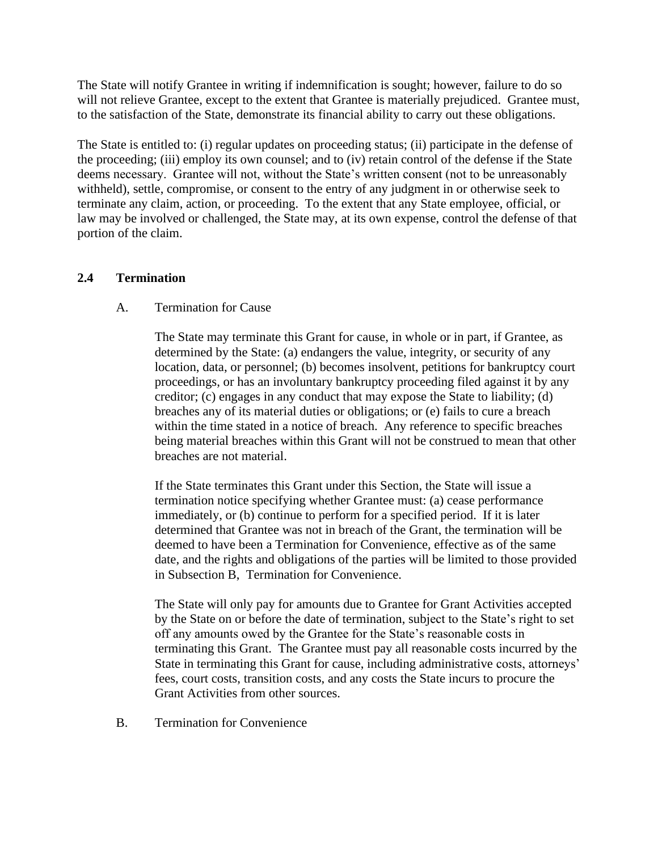The State will notify Grantee in writing if indemnification is sought; however, failure to do so will not relieve Grantee, except to the extent that Grantee is materially prejudiced. Grantee must, to the satisfaction of the State, demonstrate its financial ability to carry out these obligations.

The State is entitled to: (i) regular updates on proceeding status; (ii) participate in the defense of the proceeding; (iii) employ its own counsel; and to (iv) retain control of the defense if the State deems necessary. Grantee will not, without the State's written consent (not to be unreasonably withheld), settle, compromise, or consent to the entry of any judgment in or otherwise seek to terminate any claim, action, or proceeding. To the extent that any State employee, official, or law may be involved or challenged, the State may, at its own expense, control the defense of that portion of the claim.

#### **2.4 Termination**

#### A. Termination for Cause

The State may terminate this Grant for cause, in whole or in part, if Grantee, as determined by the State: (a) endangers the value, integrity, or security of any location, data, or personnel; (b) becomes insolvent, petitions for bankruptcy court proceedings, or has an involuntary bankruptcy proceeding filed against it by any creditor; (c) engages in any conduct that may expose the State to liability; (d) breaches any of its material duties or obligations; or (e) fails to cure a breach within the time stated in a notice of breach. Any reference to specific breaches being material breaches within this Grant will not be construed to mean that other breaches are not material.

If the State terminates this Grant under this Section, the State will issue a termination notice specifying whether Grantee must: (a) cease performance immediately, or (b) continue to perform for a specified period. If it is later determined that Grantee was not in breach of the Grant, the termination will be deemed to have been a Termination for Convenience, effective as of the same date, and the rights and obligations of the parties will be limited to those provided in Subsection B, Termination for Convenience.

The State will only pay for amounts due to Grantee for Grant Activities accepted by the State on or before the date of termination, subject to the State's right to set off any amounts owed by the Grantee for the State's reasonable costs in terminating this Grant. The Grantee must pay all reasonable costs incurred by the State in terminating this Grant for cause, including administrative costs, attorneys' fees, court costs, transition costs, and any costs the State incurs to procure the Grant Activities from other sources.

B. Termination for Convenience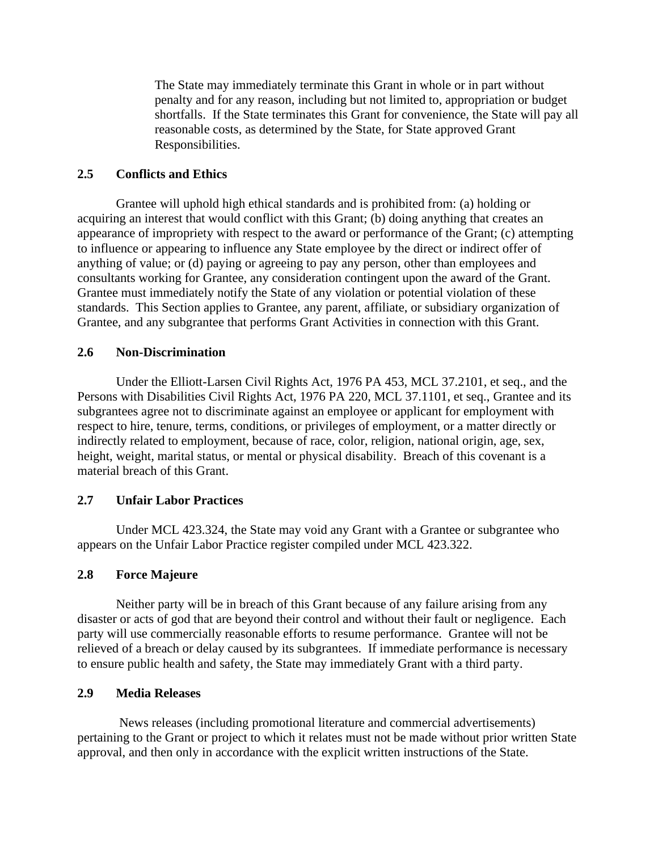The State may immediately terminate this Grant in whole or in part without penalty and for any reason, including but not limited to, appropriation or budget shortfalls. If the State terminates this Grant for convenience, the State will pay all reasonable costs, as determined by the State, for State approved Grant Responsibilities.

#### **2.5 Conflicts and Ethics**

Grantee will uphold high ethical standards and is prohibited from: (a) holding or acquiring an interest that would conflict with this Grant; (b) doing anything that creates an appearance of impropriety with respect to the award or performance of the Grant; (c) attempting to influence or appearing to influence any State employee by the direct or indirect offer of anything of value; or (d) paying or agreeing to pay any person, other than employees and consultants working for Grantee, any consideration contingent upon the award of the Grant. Grantee must immediately notify the State of any violation or potential violation of these standards. This Section applies to Grantee, any parent, affiliate, or subsidiary organization of Grantee, and any subgrantee that performs Grant Activities in connection with this Grant.

#### **2.6 Non-Discrimination**

Under the Elliott-Larsen Civil Rights Act, 1976 PA 453, MCL 37.2101, et seq., and the Persons with Disabilities Civil Rights Act, 1976 PA 220, MCL 37.1101, et seq., Grantee and its subgrantees agree not to discriminate against an employee or applicant for employment with respect to hire, tenure, terms, conditions, or privileges of employment, or a matter directly or indirectly related to employment, because of race, color, religion, national origin, age, sex, height, weight, marital status, or mental or physical disability. Breach of this covenant is a material breach of this Grant.

### **2.7 Unfair Labor Practices**

Under MCL 423.324, the State may void any Grant with a Grantee or subgrantee who appears on the Unfair Labor Practice register compiled under MCL 423.322.

#### **2.8 Force Majeure**

Neither party will be in breach of this Grant because of any failure arising from any disaster or acts of god that are beyond their control and without their fault or negligence. Each party will use commercially reasonable efforts to resume performance. Grantee will not be relieved of a breach or delay caused by its subgrantees. If immediate performance is necessary to ensure public health and safety, the State may immediately Grant with a third party.

#### **2.9 Media Releases**

News releases (including promotional literature and commercial advertisements) pertaining to the Grant or project to which it relates must not be made without prior written State approval, and then only in accordance with the explicit written instructions of the State.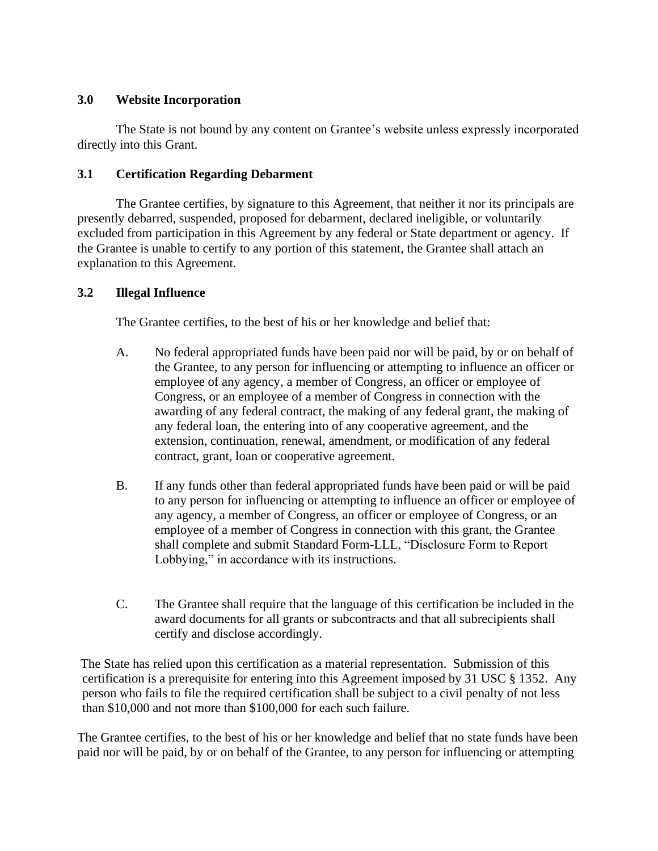### **3.0 Website Incorporation**

The State is not bound by any content on Grantee's website unless expressly incorporated directly into this Grant.

## **3.1 Certification Regarding Debarment**

The Grantee certifies, by signature to this Agreement, that neither it nor its principals are presently debarred, suspended, proposed for debarment, declared ineligible, or voluntarily excluded from participation in this Agreement by any federal or State department or agency. If the Grantee is unable to certify to any portion of this statement, the Grantee shall attach an explanation to this Agreement.

## **3.2 Illegal Influence**

The Grantee certifies, to the best of his or her knowledge and belief that:

- A. No federal appropriated funds have been paid nor will be paid, by or on behalf of the Grantee, to any person for influencing or attempting to influence an officer or employee of any agency, a member of Congress, an officer or employee of Congress, or an employee of a member of Congress in connection with the awarding of any federal contract, the making of any federal grant, the making of any federal loan, the entering into of any cooperative agreement, and the extension, continuation, renewal, amendment, or modification of any federal contract, grant, loan or cooperative agreement.
- B. If any funds other than federal appropriated funds have been paid or will be paid to any person for influencing or attempting to influence an officer or employee of any agency, a member of Congress, an officer or employee of Congress, or an employee of a member of Congress in connection with this grant, the Grantee shall complete and submit Standard Form-LLL, "Disclosure Form to Report Lobbying," in accordance with its instructions.
- C. The Grantee shall require that the language of this certification be included in the award documents for all grants or subcontracts and that all subrecipients shall certify and disclose accordingly.

The State has relied upon this certification as a material representation. Submission of this certification is a prerequisite for entering into this Agreement imposed by 31 USC § 1352. Any person who fails to file the required certification shall be subject to a civil penalty of not less than \$10,000 and not more than \$100,000 for each such failure.

The Grantee certifies, to the best of his or her knowledge and belief that no state funds have been paid nor will be paid, by or on behalf of the Grantee, to any person for influencing or attempting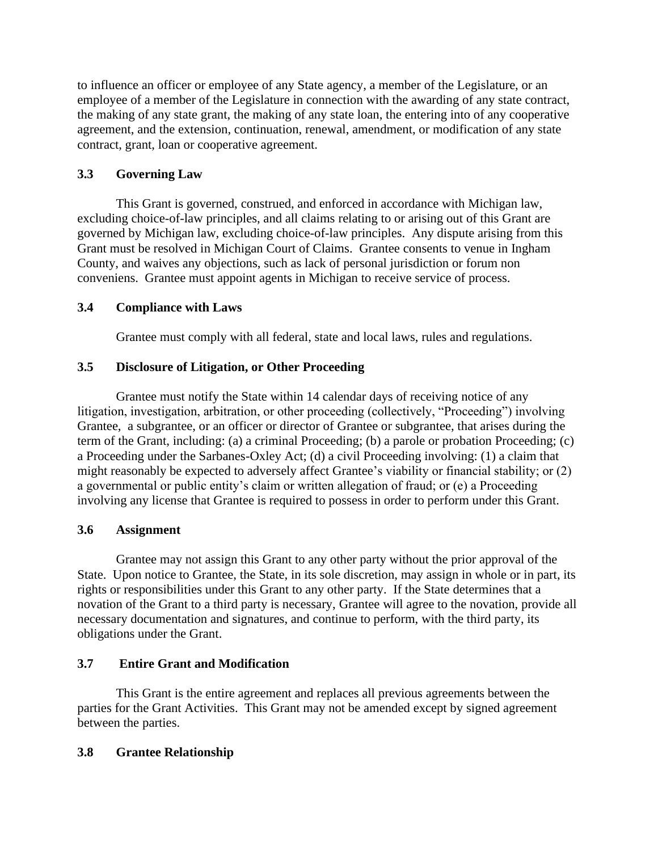to influence an officer or employee of any State agency, a member of the Legislature, or an employee of a member of the Legislature in connection with the awarding of any state contract, the making of any state grant, the making of any state loan, the entering into of any cooperative agreement, and the extension, continuation, renewal, amendment, or modification of any state contract, grant, loan or cooperative agreement.

## **3.3 Governing Law**

This Grant is governed, construed, and enforced in accordance with Michigan law, excluding choice-of-law principles, and all claims relating to or arising out of this Grant are governed by Michigan law, excluding choice-of-law principles. Any dispute arising from this Grant must be resolved in Michigan Court of Claims. Grantee consents to venue in Ingham County, and waives any objections, such as lack of personal jurisdiction or forum non conveniens. Grantee must appoint agents in Michigan to receive service of process.

## **3.4 Compliance with Laws**

Grantee must comply with all federal, state and local laws, rules and regulations.

## **3.5 Disclosure of Litigation, or Other Proceeding**

Grantee must notify the State within 14 calendar days of receiving notice of any litigation, investigation, arbitration, or other proceeding (collectively, "Proceeding") involving Grantee, a subgrantee, or an officer or director of Grantee or subgrantee, that arises during the term of the Grant, including: (a) a criminal Proceeding; (b) a parole or probation Proceeding; (c) a Proceeding under the Sarbanes-Oxley Act; (d) a civil Proceeding involving: (1) a claim that might reasonably be expected to adversely affect Grantee's viability or financial stability; or (2) a governmental or public entity's claim or written allegation of fraud; or (e) a Proceeding involving any license that Grantee is required to possess in order to perform under this Grant.

### **3.6 Assignment**

Grantee may not assign this Grant to any other party without the prior approval of the State. Upon notice to Grantee, the State, in its sole discretion, may assign in whole or in part, its rights or responsibilities under this Grant to any other party. If the State determines that a novation of the Grant to a third party is necessary, Grantee will agree to the novation, provide all necessary documentation and signatures, and continue to perform, with the third party, its obligations under the Grant.

### **3.7 Entire Grant and Modification**

This Grant is the entire agreement and replaces all previous agreements between the parties for the Grant Activities. This Grant may not be amended except by signed agreement between the parties.

### **3.8 Grantee Relationship**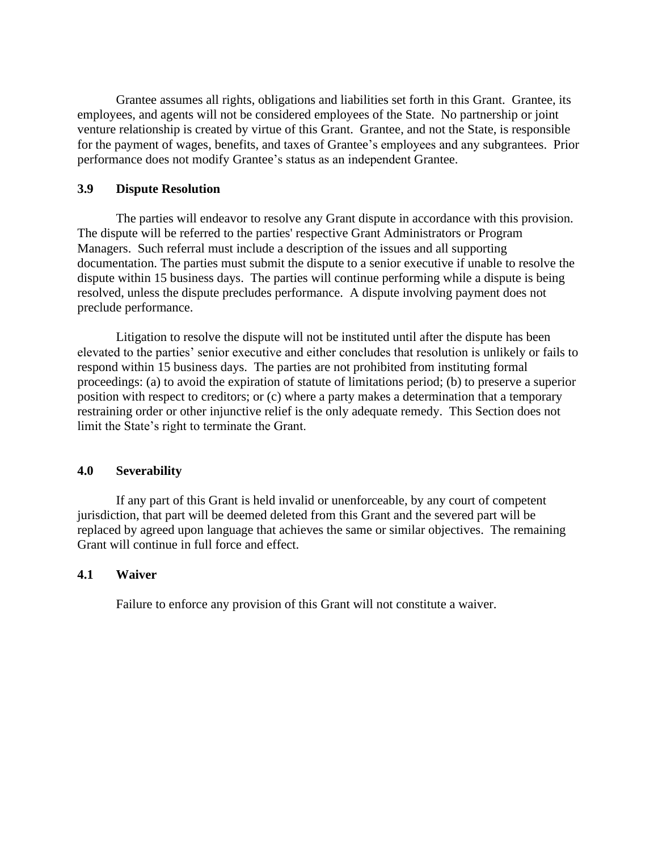Grantee assumes all rights, obligations and liabilities set forth in this Grant. Grantee, its employees, and agents will not be considered employees of the State. No partnership or joint venture relationship is created by virtue of this Grant. Grantee, and not the State, is responsible for the payment of wages, benefits, and taxes of Grantee's employees and any subgrantees. Prior performance does not modify Grantee's status as an independent Grantee.

#### **3.9 Dispute Resolution**

The parties will endeavor to resolve any Grant dispute in accordance with this provision. The dispute will be referred to the parties' respective Grant Administrators or Program Managers. Such referral must include a description of the issues and all supporting documentation. The parties must submit the dispute to a senior executive if unable to resolve the dispute within 15 business days. The parties will continue performing while a dispute is being resolved, unless the dispute precludes performance. A dispute involving payment does not preclude performance.

Litigation to resolve the dispute will not be instituted until after the dispute has been elevated to the parties' senior executive and either concludes that resolution is unlikely or fails to respond within 15 business days. The parties are not prohibited from instituting formal proceedings: (a) to avoid the expiration of statute of limitations period; (b) to preserve a superior position with respect to creditors; or (c) where a party makes a determination that a temporary restraining order or other injunctive relief is the only adequate remedy. This Section does not limit the State's right to terminate the Grant.

#### **4.0 Severability**

If any part of this Grant is held invalid or unenforceable, by any court of competent jurisdiction, that part will be deemed deleted from this Grant and the severed part will be replaced by agreed upon language that achieves the same or similar objectives. The remaining Grant will continue in full force and effect.

### **4.1 Waiver**

Failure to enforce any provision of this Grant will not constitute a waiver.